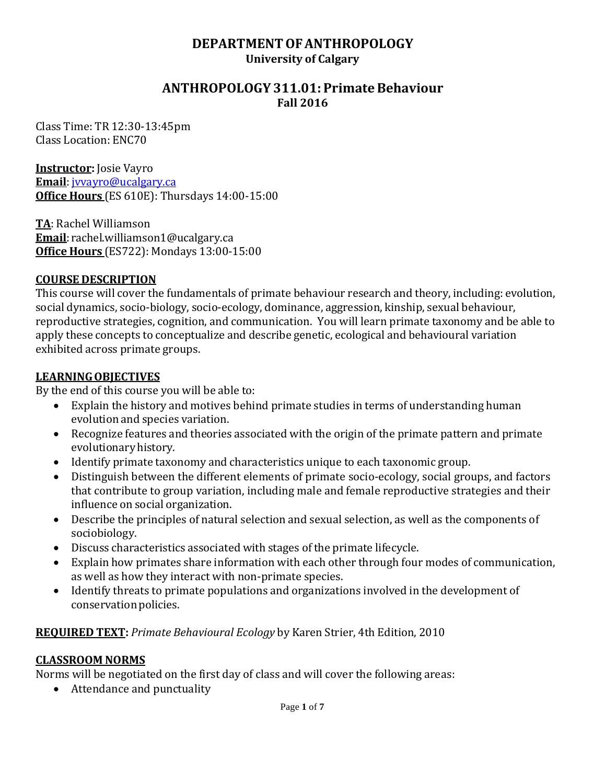## **DEPARTMENTOFANTHROPOLOGY University of Calgary**

### **ANTHROPOLOGY 311.01: PrimateBehaviour Fall 2016**

Class Time: TR 12:30-13:45pm Class Location: ENC70

**Instructor:** Josie Vayro

**Email**: [jvvayro@ucalgary.ca](mailto:jvvayro@ucalgary.ca) **Office Hours** (ES 610E): Thursdays 14:00-15:00

**TA**: Rachel Williamson **Email**: [rachel.williamson1@ucalgary.ca](mailto:rachel.williamson1@ucalgary.ca) **Office Hours** (ES722): Mondays 13:00-15:00

#### **COURSE DESCRIPTION**

This course will cover the fundamentals of primate behaviour research and theory, including: evolution, social dynamics, socio-biology, socio-ecology, dominance, aggression, kinship, sexual behaviour, reproductive strategies, cognition, and communication. You will learn primate taxonomy and be able to apply these concepts to conceptualize and describe genetic, ecological and behavioural variation exhibited across primate groups.

#### **LEARNINGOBJECTIVES**

By the end of this course you will be able to:

- Explain the history and motives behind primate studies in terms of understanding human evolution and species variation.
- Recognize features and theories associated with the origin of the primate pattern and primate evolutionaryhistory.
- Identify primate taxonomy and characteristics unique to each taxonomic group.
- Distinguish between the different elements of primate socio-ecology, social groups, and factors that contribute to group variation, including male and female reproductive strategies and their influence on social organization.
- Describe the principles of natural selection and sexual selection, as well as the components of sociobiology.
- Discuss characteristics associated with stages of the primate lifecycle.
- Explain how primates share information with each other through four modes of communication, as well as how they interact with non-primate species.
- Identify threats to primate populations and organizations involved in the development of conservation policies.

## **REQUIRED TEXT:** *Primate Behavioural Ecology* by Karen Strier, 4th Edition, 2010

#### **CLASSROOM NORMS**

Norms will be negotiated on the first day of class and will cover the following areas:

• Attendance and punctuality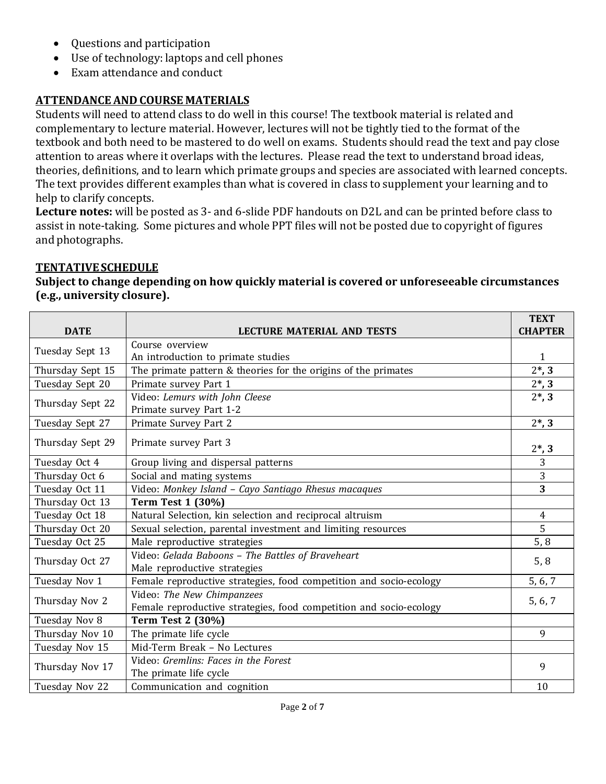- Questions and participation
- Use of technology: laptops and cell phones
- Exam attendance and conduct

# **ATTENDANCE AND COURSE MATERIALS**

Students will need to attend class to do well in this course! The textbook material is related and complementary to lecture material. However, lectures will not be tightly tied to the format of the textbook and both need to be mastered to do well on exams. Students should read the text and pay close attention to areas where it overlaps with the lectures. Please read the text to understand broad ideas, theories, definitions, and to learn which primate groups and species are associated with learned concepts. The text provides different examples than what is covered in class to supplement your learning and to help to clarify concepts.

**Lecture notes:** will be posted as 3- and 6-slide PDF handouts on D2L and can be printed before class to assist in note-taking. Some pictures and whole PPT files will not be posted due to copyright of figures and photographs.

#### **TENTATIVESCHEDULE**

**Subject to change depending on how quickly material is covered or unforeseeable circumstances (e.g., university closure).**

|                  |                                                                    | <b>TEXT</b>                  |  |  |  |
|------------------|--------------------------------------------------------------------|------------------------------|--|--|--|
| <b>DATE</b>      | <b>LECTURE MATERIAL AND TESTS</b>                                  | <b>CHAPTER</b>               |  |  |  |
| Tuesday Sept 13  | Course overview                                                    |                              |  |  |  |
|                  | An introduction to primate studies                                 | $\mathbf{1}$                 |  |  |  |
| Thursday Sept 15 | The primate pattern & theories for the origins of the primates     | $2^*$ , 3                    |  |  |  |
| Tuesday Sept 20  | Primate survey Part 1                                              |                              |  |  |  |
| Thursday Sept 22 | Video: Lemurs with John Cleese                                     | $2^*$ , 3                    |  |  |  |
|                  | Primate survey Part 1-2                                            |                              |  |  |  |
| Tuesday Sept 27  | Primate Survey Part 2                                              | $2*, 3$                      |  |  |  |
| Thursday Sept 29 | Primate survey Part 3                                              |                              |  |  |  |
|                  |                                                                    | $2^*$ , 3                    |  |  |  |
| Tuesday Oct 4    | Group living and dispersal patterns                                | $\overline{3}$               |  |  |  |
| Thursday Oct 6   | Social and mating systems                                          | $\sqrt{3}$<br>$\overline{3}$ |  |  |  |
| Tuesday Oct 11   | Video: Monkey Island - Cayo Santiago Rhesus macaques               |                              |  |  |  |
| Thursday Oct 13  | <b>Term Test 1 (30%)</b>                                           |                              |  |  |  |
| Tuesday Oct 18   | Natural Selection, kin selection and reciprocal altruism           | $\overline{4}$               |  |  |  |
| Thursday Oct 20  | Sexual selection, parental investment and limiting resources       | 5                            |  |  |  |
| Tuesday Oct 25   | Male reproductive strategies                                       | 5, 8                         |  |  |  |
| Thursday Oct 27  | Video: Gelada Baboons - The Battles of Braveheart                  |                              |  |  |  |
|                  | Male reproductive strategies                                       | 5, 8                         |  |  |  |
| Tuesday Nov 1    | Female reproductive strategies, food competition and socio-ecology | 5, 6, 7                      |  |  |  |
|                  | Video: The New Chimpanzees                                         |                              |  |  |  |
| Thursday Nov 2   | Female reproductive strategies, food competition and socio-ecology | 5, 6, 7                      |  |  |  |
| Tuesday Nov 8    | <b>Term Test 2 (30%)</b>                                           |                              |  |  |  |
| Thursday Nov 10  | The primate life cycle                                             | 9                            |  |  |  |
| Tuesday Nov 15   | Mid-Term Break - No Lectures                                       |                              |  |  |  |
| Thursday Nov 17  | Video: Gremlins: Faces in the Forest                               | 9                            |  |  |  |
|                  | The primate life cycle                                             |                              |  |  |  |
| Tuesday Nov 22   | Communication and cognition                                        | 10                           |  |  |  |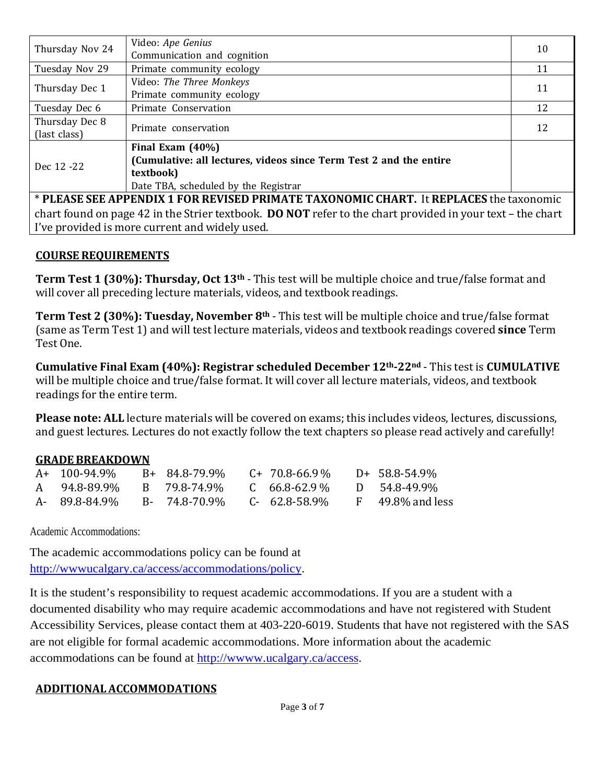| Video: Ape Genius<br>Thursday Nov 24<br>Communication and cognition                                        |                                                                    |    |  |  |  |  |
|------------------------------------------------------------------------------------------------------------|--------------------------------------------------------------------|----|--|--|--|--|
| Tuesday Nov 29                                                                                             | Primate community ecology                                          |    |  |  |  |  |
| Thursday Dec 1                                                                                             | Video: The Three Monkeys                                           |    |  |  |  |  |
|                                                                                                            | Primate community ecology                                          | 11 |  |  |  |  |
| Tuesday Dec 6                                                                                              | Primate Conservation                                               | 12 |  |  |  |  |
| Thursday Dec 8                                                                                             | Primate conservation                                               |    |  |  |  |  |
| (last class)                                                                                               |                                                                    |    |  |  |  |  |
| Dec 12 -22                                                                                                 | Final Exam $(40\%)$                                                |    |  |  |  |  |
|                                                                                                            | (Cumulative: all lectures, videos since Term Test 2 and the entire |    |  |  |  |  |
|                                                                                                            | textbook)                                                          |    |  |  |  |  |
|                                                                                                            | Date TBA, scheduled by the Registrar                               |    |  |  |  |  |
| * PLEASE SEE APPENDIX 1 FOR REVISED PRIMATE TAXONOMIC CHART. It REPLACES the taxonomic                     |                                                                    |    |  |  |  |  |
| chart found on page 42 in the Strier textbook. DO NOT refer to the chart provided in your text - the chart |                                                                    |    |  |  |  |  |
| I've provided is more current and widely used.                                                             |                                                                    |    |  |  |  |  |

#### **COURSE REQUIREMENTS**

**Term Test 1 (30%): Thursday, Oct 13th** - This test will be multiple choice and true/false format and will cover all preceding lecture materials, videos, and textbook readings.

**Term Test 2 (30%): Tuesday, November 8th** - This test will be multiple choice and true/false format (same as Term Test 1) and will test lecture materials, videos and textbook readings covered **since** Term Test One.

**Cumulative Final Exam (40%): Registrar scheduled December 12th-22nd** - This test is **CUMULATIVE** will be multiple choice and true/false format. It will cover all lecture materials, videos, and textbook readings for the entire term.

**Please note: ALL** lecture materials will be covered on exams; this includes videos, lectures, discussions, and guest lectures. Lectures do not exactly follow the text chapters so please read actively and carefully!

#### **GRADE BREAKDOWN**

| A+ 100-94.9%                | B+ 84.8-79.9% | $C+70.8-66.9\%$     | D+ 58.8-54.9%         |
|-----------------------------|---------------|---------------------|-----------------------|
| A 94.8-89.9%                | B 79.8-74.9%  | $C = 66.8 - 62.9\%$ | D 54.8-49.9%          |
| A- 89.8-84.9% B- 74.8-70.9% |               | C- 62.8-58.9%       | $F = 49.8\%$ and less |

Academic Accommodations:

The academic accommodations policy can be found at [http://wwwucalgary.ca/access/accommodations/policy.](http://wwwucalgary.ca/access/accommodations/policy)

It is the student's responsibility to request academic accommodations. If you are a student with a documented disability who may require academic accommodations and have not registered with Student Accessibility Services, please contact them at 403-220-6019. Students that have not registered with the SAS are not eligible for formal academic accommodations. More information about the academic accommodations can be found at [http://wwww.ucalgary.ca/access.](http://wwww.ucalgary.ca/access)

#### **ADDITIONALACCOMMODATIONS**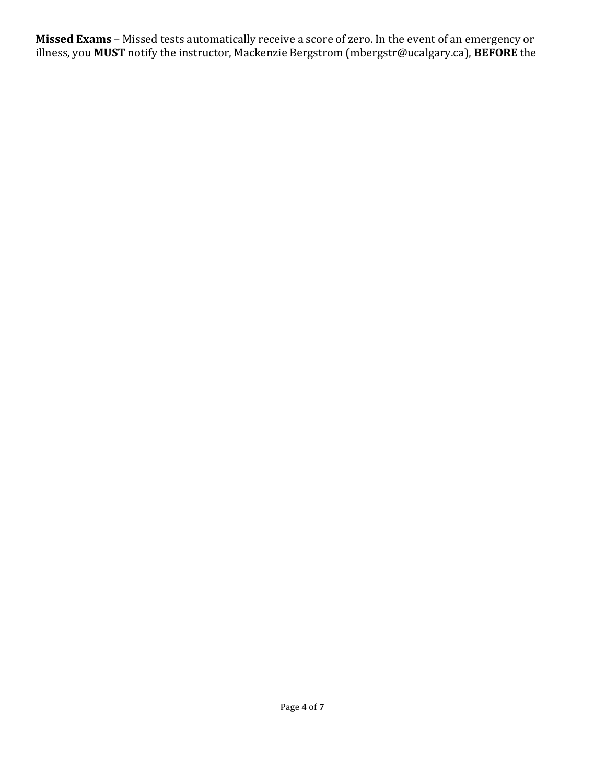**Missed Exams** – Missed tests automatically receive a score of zero. In the event of an emergency or illness, you **MUST** notify the instructor, Mackenzie Bergstrom (mbergstr@ucalgary.ca), **BEFORE** the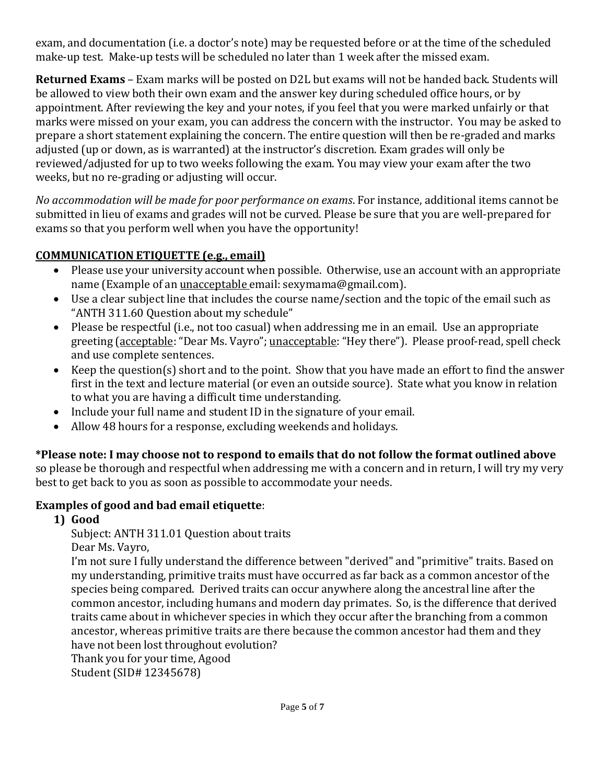exam, and documentation (i.e. a doctor's note) may be requested before or at the time of the scheduled make-up test. Make-up tests will be scheduled no later than 1 week after the missed exam.

**Returned Exams** – Exam marks will be posted on D2L but exams will not be handed back. Students will be allowed to view both their own exam and the answer key during scheduled office hours, or by appointment. After reviewing the key and your notes, if you feel that you were marked unfairly or that marks were missed on your exam, you can address the concern with the instructor. You may be asked to prepare a short statement explaining the concern. The entire question will then be re-graded and marks adjusted (up or down, as is warranted) at the instructor's discretion. Exam grades will only be reviewed/adjusted for up to two weeks following the exam. You may view your exam after the two weeks, but no re-grading or adjusting will occur.

*No accommodation will be made for poor performance on exams*. For instance, additional items cannot be submitted in lieu of exams and grades will not be curved. Please be sure that you are well-prepared for exams so that you perform well when you have the opportunity!

# **COMMUNICATION ETIQUETTE (e.g., email)**

- Please use your university account when possible. Otherwise, use an account with an appropriate name (Example of an unacceptable email: sexymama@gmail.com).
- Use a clear subject line that includes the course name/section and the topic of the email such as "ANTH 311.60 Question about my schedule"
- Please be respectful (i.e., not too casual) when addressing me in an email. Use an appropriate greeting (acceptable: "Dear Ms. Vayro"; unacceptable: "Hey there"). Please proof-read, spell check and use complete sentences.
- Keep the question(s) short and to the point. Show that you have made an effort to find the answer first in the text and lecture material (or even an outside source). State what you know in relation to what you are having a difficult time understanding.
- Include your full name and student ID in the signature of your email.
- Allow 48 hours for a response, excluding weekends and holidays.

# **\*Please note: I may choose not to respond to emails that do not follow the format outlined above**

so please be thorough and respectful when addressing me with a concern and in return, I will try my very best to get back to you as soon as possible to accommodate your needs.

# **Examples of good and bad email etiquette**:

**1) Good**

Subject: ANTH 311.01 Question about traits

Dear Ms. Vayro,

I'm not sure I fully understand the difference between "derived" and "primitive" traits. Based on my understanding, primitive traits must have occurred as far back as a common ancestor of the species being compared. Derived traits can occur anywhere along the ancestral line after the common ancestor, including humans and modern day primates. So, is the difference that derived traits came about in whichever species in which they occur after the branching from a common ancestor, whereas primitive traits are there because the common ancestor had them and they have not been lost throughout evolution?

Thank you for your time, Agood Student(SID# 12345678)